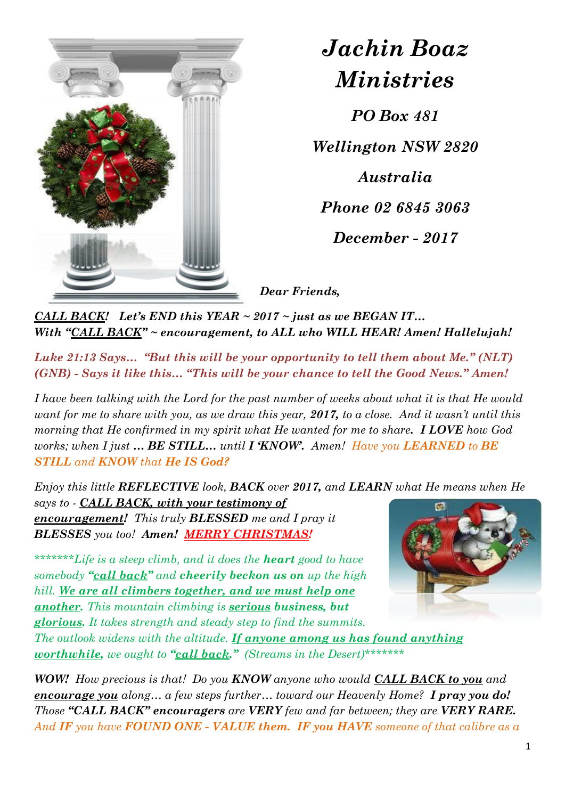

*Jachin Boaz Ministries*

*PO Box 481*

*Wellington NSW 2820*

*Australia*

*Phone 02 6845 3063*

*December - 2017*

*Dear Friends,* 

*CALL BACK! Let's END this YEAR ~ 2017 ~ just as we BEGAN IT… With "CALL BACK" ~ encouragement, to ALL who WILL HEAR! Amen! Hallelujah!*

*Luke 21:13 Says… "But this will be your opportunity to tell them about Me." (NLT) (GNB) - Says it like this… "This will be your chance to tell the Good News." Amen!*

*I have been talking with the Lord for the past number of weeks about what it is that He would want for me to share with you, as we draw this year, 2017, to a close. And it wasn't until this morning that He confirmed in my spirit what He wanted for me to share. I LOVE how God works; when I just … BE STILL… until I 'KNOW'. Amen! Have you LEARNED to BE STILL and KNOW that He IS God?*

*Enjoy this little REFLECTIVE look, BACK over 2017, and LEARN what He means when He says to - CALL BACK, with your testimony of encouragement! This truly BLESSED me and I pray it BLESSES you too! Amen! MERRY CHRISTMAS!*

*\*\*\*\*\*\*\*Life is a steep climb, and it does the heart good to have somebody "call back" and cheerily beckon us on up the high hill. We are all climbers together, and we must help one another. This mountain climbing is serious business, but glorious. It takes strength and steady step to find the summits.* 



*The outlook widens with the altitude. If anyone among us has found anything worthwhile, we ought to "call back." (Streams in the Desert)\*\*\*\*\*\*\**

*WOW! How precious is that! Do you KNOW anyone who would CALL BACK to you and encourage you along… a few steps further… toward our Heavenly Home? I pray you do! Those "CALL BACK" encouragers are VERY few and far between; they are VERY RARE. And IF you have FOUND ONE - VALUE them. IF you HAVE someone of that calibre as a*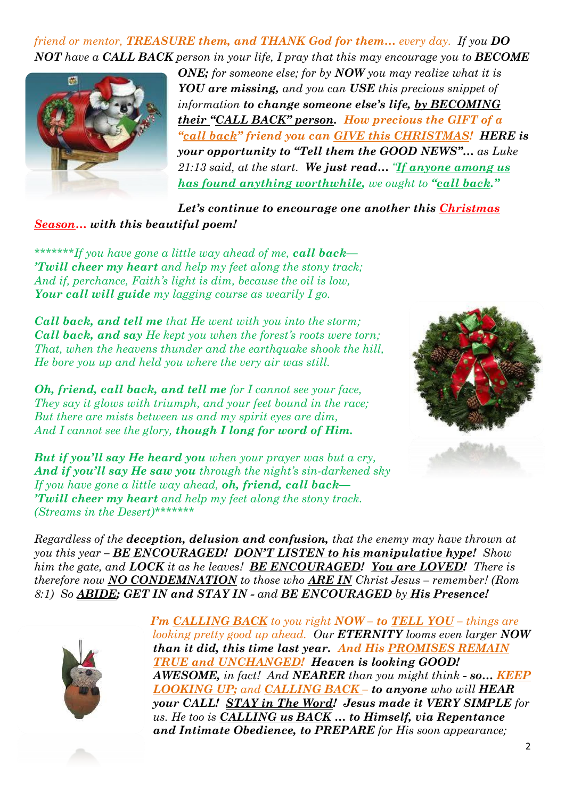*friend or mentor, TREASURE them, and THANK God for them… every day. If you DO NOT have a CALL BACK person in your life, I pray that this may encourage you to BECOME* 



*ONE; for someone else; for by NOW you may realize what it is YOU are missing, and you can USE this precious snippet of information to change someone else's life, by BECOMING their "CALL BACK" person. How precious the GIFT of a "call back" friend you can GIVE this CHRISTMAS! HERE is your opportunity to "Tell them the GOOD NEWS"… as Luke 21:13 said, at the start. We just read… "If anyone among us has found anything worthwhile, we ought to "call back."*

*Let's continue to encourage one another this Christmas Season… with this beautiful poem!* 

*\*\*\*\*\*\*\*If you have gone a little way ahead of me, call back— 'Twill cheer my heart and help my feet along the stony track; And if, perchance, Faith's light is dim, because the oil is low, Your call will guide my lagging course as wearily I go.*

*Call back, and tell me that He went with you into the storm; Call back, and say He kept you when the forest's roots were torn; That, when the heavens thunder and the earthquake shook the hill, He bore you up and held you where the very air was still.*

*Oh, friend, call back, and tell me for I cannot see your face, They say it glows with triumph, and your feet bound in the race; But there are mists between us and my spirit eyes are dim, And I cannot see the glory, though I long for word of Him.*

*But if you'll say He heard you when your prayer was but a cry, And if you'll say He saw you through the night's sin-darkened sky If you have gone a little way ahead, oh, friend, call back— 'Twill cheer my heart and help my feet along the stony track. (Streams in the Desert)\*\*\*\*\*\*\**



*Regardless of the deception, delusion and confusion, that the enemy may have thrown at you this year – BE ENCOURAGED! DON'T LISTEN to his manipulative hype! Show him the gate, and LOCK it as he leaves! BE ENCOURAGED! You are LOVED! There is therefore now NO CONDEMNATION to those who ARE IN Christ Jesus – remember! (Rom 8:1) So ABIDE; GET IN and STAY IN - and BE ENCOURAGED by His Presence!*



*I'm CALLING BACK to you right NOW – to TELL YOU – things are looking pretty good up ahead. Our ETERNITY looms even larger NOW than it did, this time last year. And His PROMISES REMAIN TRUE and UNCHANGED! Heaven is looking GOOD! AWESOME, in fact! And NEARER than you might think - so… KEEP LOOKING UP; and CALLING BACK – to anyone who will HEAR your CALL! STAY in The Word! Jesus made it VERY SIMPLE for us. He too is CALLING us BACK … to Himself, via Repentance and Intimate Obedience, to PREPARE for His soon appearance;*